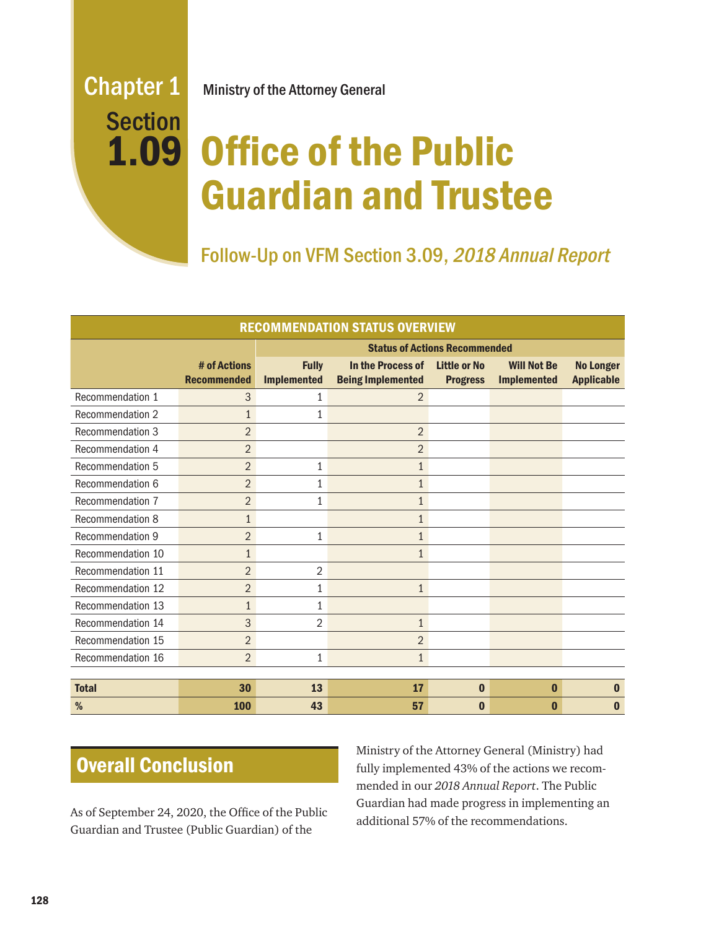# **Section** 1.09

Chapter 1 Ministry of the Attorney General

## Office of the Public Guardian and Trustee

Follow-Up on VFM Section 3.09, 2018 Annual Report

| <b>RECOMMENDATION STATUS OVERVIEW</b> |                                    |                                      |                                               |                                        |                                          |                                       |
|---------------------------------------|------------------------------------|--------------------------------------|-----------------------------------------------|----------------------------------------|------------------------------------------|---------------------------------------|
|                                       |                                    | <b>Status of Actions Recommended</b> |                                               |                                        |                                          |                                       |
|                                       | # of Actions<br><b>Recommended</b> | <b>Fully</b><br><b>Implemented</b>   | In the Process of<br><b>Being Implemented</b> | <b>Little or No</b><br><b>Progress</b> | <b>Will Not Be</b><br><b>Implemented</b> | <b>No Longer</b><br><b>Applicable</b> |
| Recommendation 1                      | 3                                  | 1                                    | $\overline{2}$                                |                                        |                                          |                                       |
| <b>Recommendation 2</b>               | $\mathbf{1}$                       | 1                                    |                                               |                                        |                                          |                                       |
| Recommendation 3                      | $\overline{2}$                     |                                      | $\overline{2}$                                |                                        |                                          |                                       |
| Recommendation 4                      | $\overline{2}$                     |                                      | $\overline{2}$                                |                                        |                                          |                                       |
| <b>Recommendation 5</b>               | $\overline{2}$                     | 1                                    | $\mathbf{1}$                                  |                                        |                                          |                                       |
| Recommendation 6                      | $\overline{2}$                     | 1                                    | $\mathbf{1}$                                  |                                        |                                          |                                       |
| Recommendation 7                      | $\overline{2}$                     | 1                                    | $\mathbf{1}$                                  |                                        |                                          |                                       |
| <b>Recommendation 8</b>               | $\mathbf{1}$                       |                                      | $\mathbf{1}$                                  |                                        |                                          |                                       |
| Recommendation 9                      | $\overline{2}$                     | 1                                    | $\mathbf 1$                                   |                                        |                                          |                                       |
| Recommendation 10                     | $\mathbf{1}$                       |                                      | 1                                             |                                        |                                          |                                       |
| Recommendation 11                     | $\overline{2}$                     | $\overline{2}$                       |                                               |                                        |                                          |                                       |
| Recommendation 12                     | $\overline{2}$                     | 1                                    | $\mathbf{1}$                                  |                                        |                                          |                                       |
| Recommendation 13                     | $\mathbf{1}$                       | 1                                    |                                               |                                        |                                          |                                       |
| Recommendation 14                     | 3                                  | 2                                    | $\mathbf{1}$                                  |                                        |                                          |                                       |
| Recommendation 15                     | $\overline{2}$                     |                                      | $\overline{2}$                                |                                        |                                          |                                       |
| Recommendation 16                     | $\overline{2}$                     | 1                                    | $\mathbf{1}$                                  |                                        |                                          |                                       |
|                                       |                                    |                                      |                                               |                                        |                                          |                                       |
| <b>Total</b>                          | 30                                 | 13                                   | 17                                            | $\bf{0}$                               | $\bf{0}$                                 | $\bf{0}$                              |
| %                                     | 100                                | 43                                   | 57                                            | $\bf{0}$                               | $\bf{0}$                                 | $\bf{0}$                              |

## Overall Conclusion

As of September 24, 2020, the Office of the Public Guardian and Trustee (Public Guardian) of the

Ministry of the Attorney General (Ministry) had fully implemented 43% of the actions we recommended in our *2018 Annual Report*. The Public Guardian had made progress in implementing an additional 57% of the recommendations.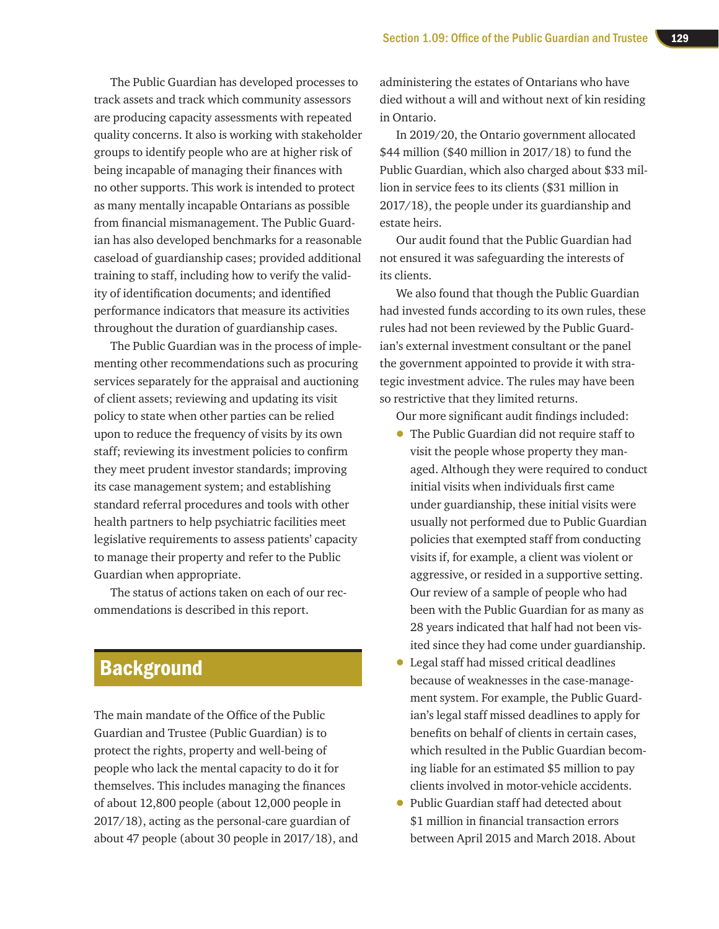The Public Guardian has developed processes to track assets and track which community assessors are producing capacity assessments with repeated quality concerns. It also is working with stakeholder groups to identify people who are at higher risk of being incapable of managing their finances with no other supports. This work is intended to protect as many mentally incapable Ontarians as possible from financial mismanagement. The Public Guardian has also developed benchmarks for a reasonable caseload of guardianship cases; provided additional training to staff, including how to verify the validity of identification documents; and identified performance indicators that measure its activities throughout the duration of guardianship cases.

The Public Guardian was in the process of implementing other recommendations such as procuring services separately for the appraisal and auctioning of client assets; reviewing and updating its visit policy to state when other parties can be relied upon to reduce the frequency of visits by its own staff; reviewing its investment policies to confirm they meet prudent investor standards; improving its case management system; and establishing standard referral procedures and tools with other health partners to help psychiatric facilities meet legislative requirements to assess patients' capacity to manage their property and refer to the Public Guardian when appropriate.

The status of actions taken on each of our recommendations is described in this report.

## **Background**

The main mandate of the Office of the Public Guardian and Trustee (Public Guardian) is to protect the rights, property and well-being of people who lack the mental capacity to do it for themselves. This includes managing the finances of about 12,800 people (about 12,000 people in 2017/18), acting as the personal-care guardian of about 47 people (about 30 people in 2017/18), and

administering the estates of Ontarians who have died without a will and without next of kin residing in Ontario.

In 2019/20, the Ontario government allocated \$44 million (\$40 million in 2017/18) to fund the Public Guardian, which also charged about \$33 million in service fees to its clients (\$31 million in 2017/18), the people under its guardianship and estate heirs.

Our audit found that the Public Guardian had not ensured it was safeguarding the interests of its clients.

We also found that though the Public Guardian had invested funds according to its own rules, these rules had not been reviewed by the Public Guardian's external investment consultant or the panel the government appointed to provide it with strategic investment advice. The rules may have been so restrictive that they limited returns.

Our more significant audit findings included:

- The Public Guardian did not require staff to visit the people whose property they managed. Although they were required to conduct initial visits when individuals first came under guardianship, these initial visits were usually not performed due to Public Guardian policies that exempted staff from conducting visits if, for example, a client was violent or aggressive, or resided in a supportive setting. Our review of a sample of people who had been with the Public Guardian for as many as 28 years indicated that half had not been visited since they had come under guardianship.
- Legal staff had missed critical deadlines because of weaknesses in the case-management system. For example, the Public Guardian's legal staff missed deadlines to apply for benefits on behalf of clients in certain cases, which resulted in the Public Guardian becoming liable for an estimated \$5 million to pay clients involved in motor-vehicle accidents.
- Public Guardian staff had detected about \$1 million in financial transaction errors between April 2015 and March 2018. About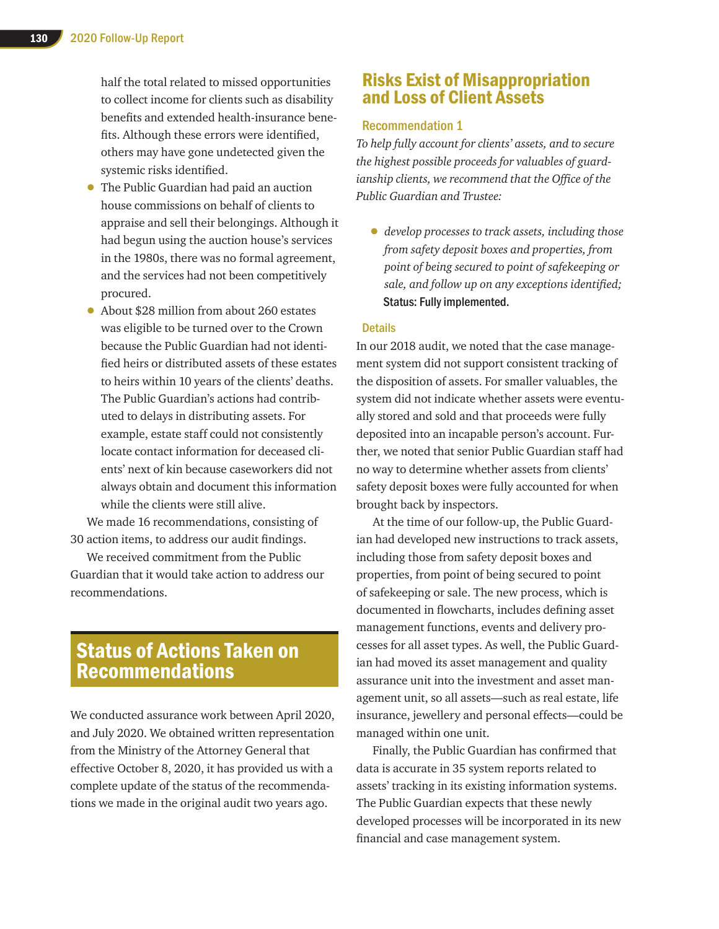half the total related to missed opportunities to collect income for clients such as disability benefits and extended health-insurance benefits. Although these errors were identified, others may have gone undetected given the systemic risks identified.

- The Public Guardian had paid an auction house commissions on behalf of clients to appraise and sell their belongings. Although it had begun using the auction house's services in the 1980s, there was no formal agreement, and the services had not been competitively procured.
- About \$28 million from about 260 estates was eligible to be turned over to the Crown because the Public Guardian had not identified heirs or distributed assets of these estates to heirs within 10 years of the clients' deaths. The Public Guardian's actions had contributed to delays in distributing assets. For example, estate staff could not consistently locate contact information for deceased clients' next of kin because caseworkers did not always obtain and document this information while the clients were still alive.

We made 16 recommendations, consisting of 30 action items, to address our audit findings.

We received commitment from the Public Guardian that it would take action to address our recommendations.

## Status of Actions Taken on Recommendations

We conducted assurance work between April 2020, and July 2020. We obtained written representation from the Ministry of the Attorney General that effective October 8, 2020, it has provided us with a complete update of the status of the recommendations we made in the original audit two years ago.

## Risks Exist of Misappropriation and Loss of Client Assets

#### Recommendation 1

*To help fully account for clients' assets, and to secure the highest possible proceeds for valuables of guardianship clients, we recommend that the Office of the Public Guardian and Trustee:*

• *develop processes to track assets, including those from safety deposit boxes and properties, from point of being secured to point of safekeeping or sale, and follow up on any exceptions identified;* Status: Fully implemented.

#### **Details**

In our 2018 audit, we noted that the case management system did not support consistent tracking of the disposition of assets. For smaller valuables, the system did not indicate whether assets were eventually stored and sold and that proceeds were fully deposited into an incapable person's account. Further, we noted that senior Public Guardian staff had no way to determine whether assets from clients' safety deposit boxes were fully accounted for when brought back by inspectors.

At the time of our follow-up, the Public Guardian had developed new instructions to track assets, including those from safety deposit boxes and properties, from point of being secured to point of safekeeping or sale. The new process, which is documented in flowcharts, includes defining asset management functions, events and delivery processes for all asset types. As well, the Public Guardian had moved its asset management and quality assurance unit into the investment and asset management unit, so all assets—such as real estate, life insurance, jewellery and personal effects—could be managed within one unit.

Finally, the Public Guardian has confirmed that data is accurate in 35 system reports related to assets' tracking in its existing information systems. The Public Guardian expects that these newly developed processes will be incorporated in its new financial and case management system.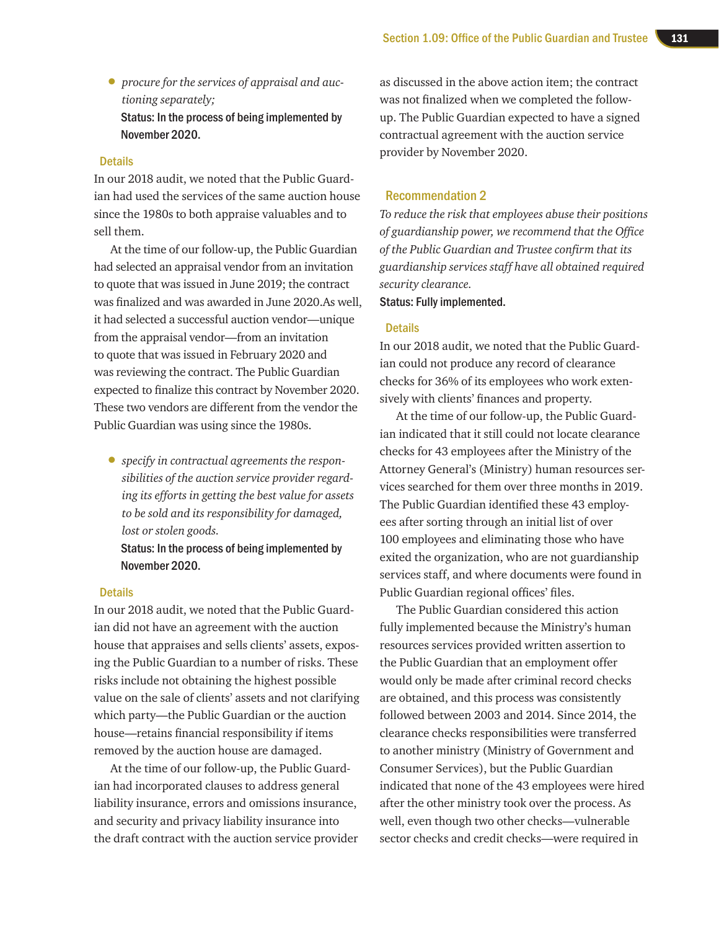• *procure for the services of appraisal and auctioning separately;*  Status: In the process of being implemented by November 2020.

#### **Details**

In our 2018 audit, we noted that the Public Guardian had used the services of the same auction house since the 1980s to both appraise valuables and to sell them.

At the time of our follow-up, the Public Guardian had selected an appraisal vendor from an invitation to quote that was issued in June 2019; the contract was finalized and was awarded in June 2020.As well, it had selected a successful auction vendor—unique from the appraisal vendor—from an invitation to quote that was issued in February 2020 and was reviewing the contract. The Public Guardian expected to finalize this contract by November 2020. These two vendors are different from the vendor the Public Guardian was using since the 1980s.

• *specify in contractual agreements the responsibilities of the auction service provider regarding its efforts in getting the best value for assets to be sold and its responsibility for damaged, lost or stolen goods.*

Status: In the process of being implemented by November 2020.

#### **Details**

In our 2018 audit, we noted that the Public Guardian did not have an agreement with the auction house that appraises and sells clients' assets, exposing the Public Guardian to a number of risks. These risks include not obtaining the highest possible value on the sale of clients' assets and not clarifying which party—the Public Guardian or the auction house—retains financial responsibility if items removed by the auction house are damaged.

At the time of our follow-up, the Public Guardian had incorporated clauses to address general liability insurance, errors and omissions insurance, and security and privacy liability insurance into the draft contract with the auction service provider

as discussed in the above action item; the contract was not finalized when we completed the followup. The Public Guardian expected to have a signed contractual agreement with the auction service provider by November 2020.

#### Recommendation 2

*To reduce the risk that employees abuse their positions of guardianship power, we recommend that the Office of the Public Guardian and Trustee confirm that its guardianship services staff have all obtained required security clearance.*

Status: Fully implemented.

#### **Details**

In our 2018 audit, we noted that the Public Guardian could not produce any record of clearance checks for 36% of its employees who work extensively with clients' finances and property.

At the time of our follow-up, the Public Guardian indicated that it still could not locate clearance checks for 43 employees after the Ministry of the Attorney General's (Ministry) human resources services searched for them over three months in 2019. The Public Guardian identified these 43 employees after sorting through an initial list of over 100 employees and eliminating those who have exited the organization, who are not guardianship services staff, and where documents were found in Public Guardian regional offices' files.

The Public Guardian considered this action fully implemented because the Ministry's human resources services provided written assertion to the Public Guardian that an employment offer would only be made after criminal record checks are obtained, and this process was consistently followed between 2003 and 2014. Since 2014, the clearance checks responsibilities were transferred to another ministry (Ministry of Government and Consumer Services), but the Public Guardian indicated that none of the 43 employees were hired after the other ministry took over the process. As well, even though two other checks—vulnerable sector checks and credit checks—were required in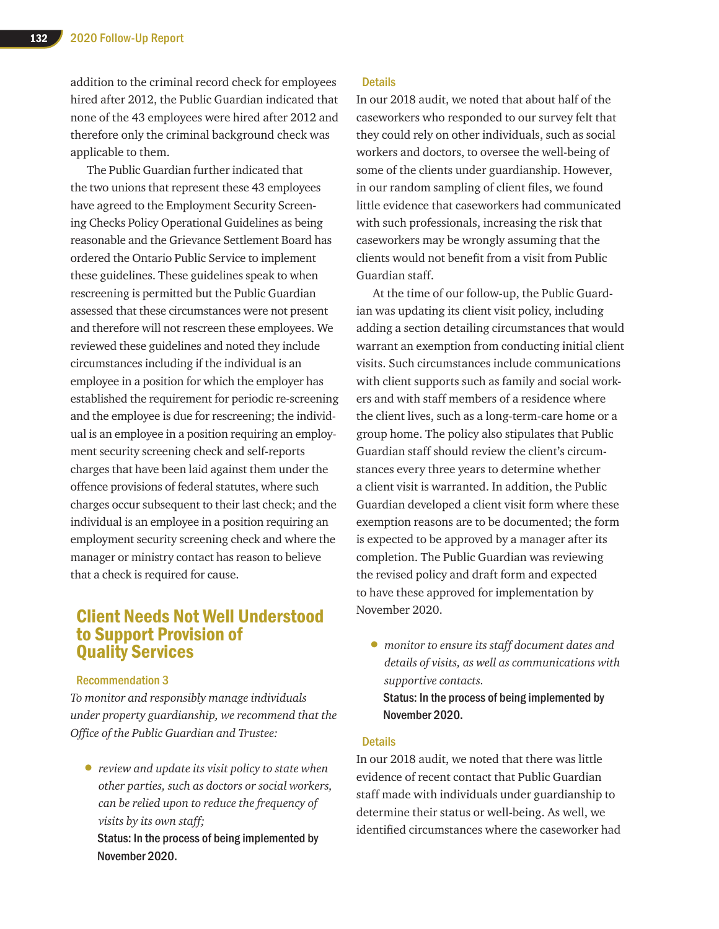addition to the criminal record check for employees hired after 2012, the Public Guardian indicated that none of the 43 employees were hired after 2012 and therefore only the criminal background check was applicable to them.

The Public Guardian further indicated that the two unions that represent these 43 employees have agreed to the Employment Security Screening Checks Policy Operational Guidelines as being reasonable and the Grievance Settlement Board has ordered the Ontario Public Service to implement these guidelines. These guidelines speak to when rescreening is permitted but the Public Guardian assessed that these circumstances were not present and therefore will not rescreen these employees. We reviewed these guidelines and noted they include circumstances including if the individual is an employee in a position for which the employer has established the requirement for periodic re-screening and the employee is due for rescreening; the individual is an employee in a position requiring an employment security screening check and self-reports charges that have been laid against them under the offence provisions of federal statutes, where such charges occur subsequent to their last check; and the individual is an employee in a position requiring an employment security screening check and where the manager or ministry contact has reason to believe that a check is required for cause.

## Client Needs Not Well Understood to Support Provision of Quality Services

#### Recommendation 3

*To monitor and responsibly manage individuals under property guardianship, we recommend that the Office of the Public Guardian and Trustee:* 

• *review and update its visit policy to state when other parties, such as doctors or social workers, can be relied upon to reduce the frequency of visits by its own staff;*

Status: In the process of being implemented by November 2020.

#### **Details**

In our 2018 audit, we noted that about half of the caseworkers who responded to our survey felt that they could rely on other individuals, such as social workers and doctors, to oversee the well-being of some of the clients under guardianship. However, in our random sampling of client files, we found little evidence that caseworkers had communicated with such professionals, increasing the risk that caseworkers may be wrongly assuming that the clients would not benefit from a visit from Public Guardian staff.

At the time of our follow-up, the Public Guardian was updating its client visit policy, including adding a section detailing circumstances that would warrant an exemption from conducting initial client visits. Such circumstances include communications with client supports such as family and social workers and with staff members of a residence where the client lives, such as a long-term-care home or a group home. The policy also stipulates that Public Guardian staff should review the client's circumstances every three years to determine whether a client visit is warranted. In addition, the Public Guardian developed a client visit form where these exemption reasons are to be documented; the form is expected to be approved by a manager after its completion. The Public Guardian was reviewing the revised policy and draft form and expected to have these approved for implementation by November 2020.

• *monitor to ensure its staff document dates and details of visits, as well as communications with supportive contacts.* Status: In the process of being implemented by November 2020.

#### **Details**

In our 2018 audit, we noted that there was little evidence of recent contact that Public Guardian staff made with individuals under guardianship to determine their status or well-being. As well, we identified circumstances where the caseworker had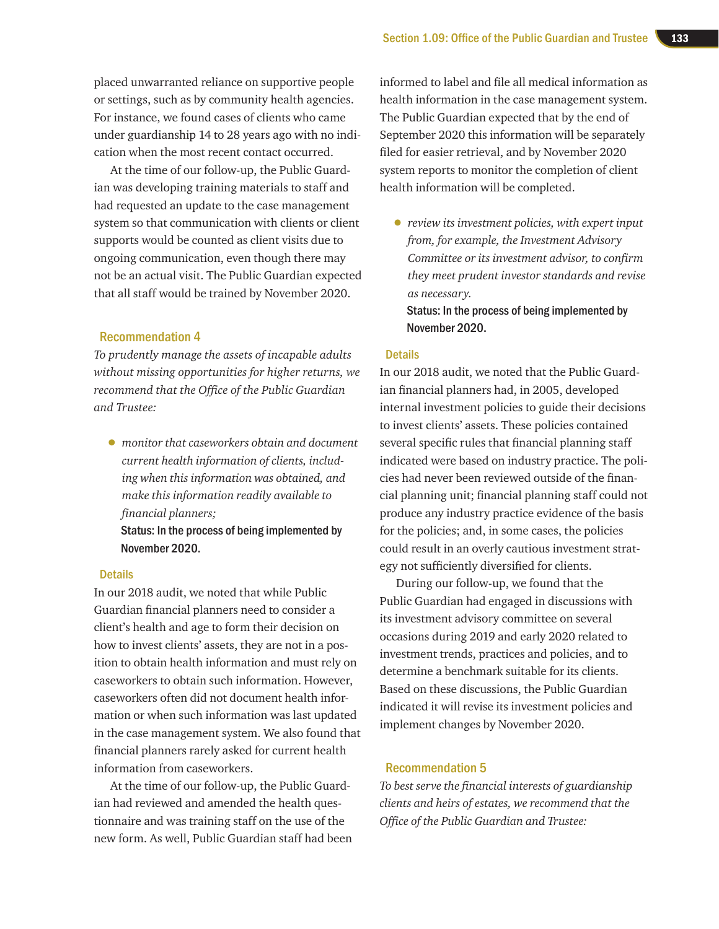placed unwarranted reliance on supportive people or settings, such as by community health agencies. For instance, we found cases of clients who came under guardianship 14 to 28 years ago with no indication when the most recent contact occurred.

At the time of our follow-up, the Public Guardian was developing training materials to staff and had requested an update to the case management system so that communication with clients or client supports would be counted as client visits due to ongoing communication, even though there may not be an actual visit. The Public Guardian expected that all staff would be trained by November 2020.

#### Recommendation 4

*To prudently manage the assets of incapable adults without missing opportunities for higher returns, we recommend that the Office of the Public Guardian and Trustee:*

• *monitor that caseworkers obtain and document current health information of clients, including when this information was obtained, and make this information readily available to financial planners;* 

Status: In the process of being implemented by November 2020.

#### **Details**

In our 2018 audit, we noted that while Public Guardian financial planners need to consider a client's health and age to form their decision on how to invest clients' assets, they are not in a position to obtain health information and must rely on caseworkers to obtain such information. However, caseworkers often did not document health information or when such information was last updated in the case management system. We also found that financial planners rarely asked for current health information from caseworkers.

At the time of our follow-up, the Public Guardian had reviewed and amended the health questionnaire and was training staff on the use of the new form. As well, Public Guardian staff had been

informed to label and file all medical information as health information in the case management system. The Public Guardian expected that by the end of September 2020 this information will be separately filed for easier retrieval, and by November 2020 system reports to monitor the completion of client health information will be completed.

• *review its investment policies, with expert input from, for example, the Investment Advisory Committee or its investment advisor, to confirm they meet prudent investor standards and revise as necessary.*

Status: In the process of being implemented by November 2020.

#### **Details**

In our 2018 audit, we noted that the Public Guardian financial planners had, in 2005, developed internal investment policies to guide their decisions to invest clients' assets. These policies contained several specific rules that financial planning staff indicated were based on industry practice. The policies had never been reviewed outside of the financial planning unit; financial planning staff could not produce any industry practice evidence of the basis for the policies; and, in some cases, the policies could result in an overly cautious investment strategy not sufficiently diversified for clients.

During our follow-up, we found that the Public Guardian had engaged in discussions with its investment advisory committee on several occasions during 2019 and early 2020 related to investment trends, practices and policies, and to determine a benchmark suitable for its clients. Based on these discussions, the Public Guardian indicated it will revise its investment policies and implement changes by November 2020.

#### Recommendation 5

*To best serve the financial interests of guardianship clients and heirs of estates, we recommend that the Office of the Public Guardian and Trustee:*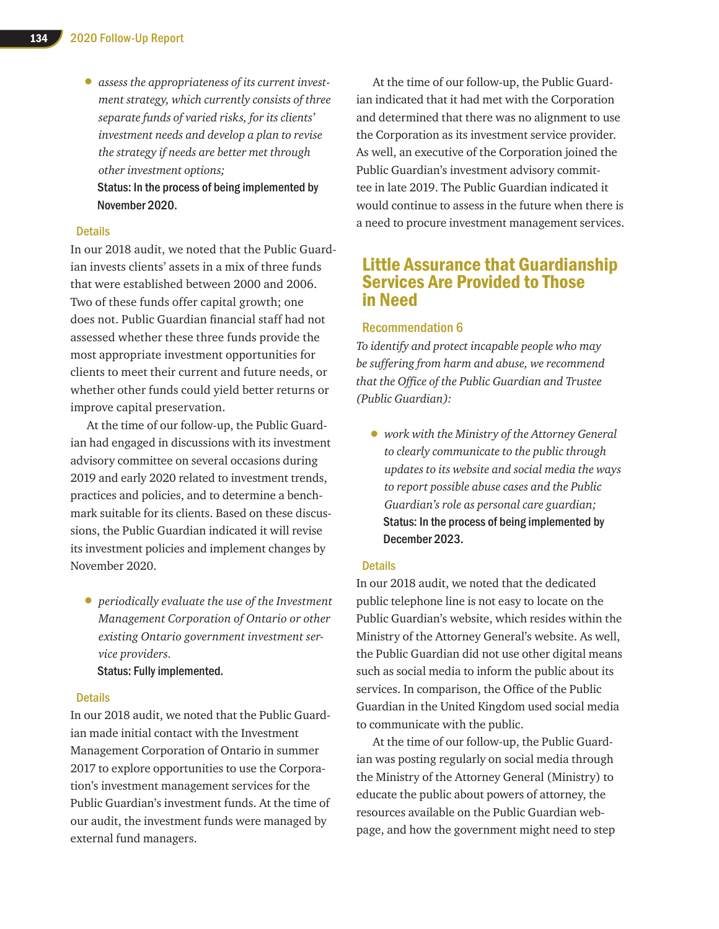• *assess the appropriateness of its current investment strategy, which currently consists of three separate funds of varied risks, for its clients' investment needs and develop a plan to revise the strategy if needs are better met through other investment options;* Status: In the process of being implemented by November 2020.

#### **Details**

In our 2018 audit, we noted that the Public Guardian invests clients' assets in a mix of three funds that were established between 2000 and 2006. Two of these funds offer capital growth; one does not. Public Guardian financial staff had not assessed whether these three funds provide the most appropriate investment opportunities for clients to meet their current and future needs, or whether other funds could yield better returns or improve capital preservation.

At the time of our follow-up, the Public Guardian had engaged in discussions with its investment advisory committee on several occasions during 2019 and early 2020 related to investment trends, practices and policies, and to determine a benchmark suitable for its clients. Based on these discussions, the Public Guardian indicated it will revise its investment policies and implement changes by November 2020.

• *periodically evaluate the use of the Investment Management Corporation of Ontario or other existing Ontario government investment service providers.* Status: Fully implemented.

#### Details

In our 2018 audit, we noted that the Public Guardian made initial contact with the Investment Management Corporation of Ontario in summer 2017 to explore opportunities to use the Corporation's investment management services for the Public Guardian's investment funds. At the time of our audit, the investment funds were managed by external fund managers.

At the time of our follow-up, the Public Guardian indicated that it had met with the Corporation and determined that there was no alignment to use the Corporation as its investment service provider. As well, an executive of the Corporation joined the Public Guardian's investment advisory committee in late 2019. The Public Guardian indicated it would continue to assess in the future when there is a need to procure investment management services.

### Little Assurance that Guardianship Services Are Provided to Those in Need

#### Recommendation 6

*To identify and protect incapable people who may be suffering from harm and abuse, we recommend that the Office of the Public Guardian and Trustee (Public Guardian):* 

• *work with the Ministry of the Attorney General to clearly communicate to the public through updates to its website and social media the ways to report possible abuse cases and the Public Guardian's role as personal care guardian;*  Status: In the process of being implemented by December 2023.

#### **Details**

In our 2018 audit, we noted that the dedicated public telephone line is not easy to locate on the Public Guardian's website, which resides within the Ministry of the Attorney General's website. As well, the Public Guardian did not use other digital means such as social media to inform the public about its services. In comparison, the Office of the Public Guardian in the United Kingdom used social media to communicate with the public.

At the time of our follow-up, the Public Guardian was posting regularly on social media through the Ministry of the Attorney General (Ministry) to educate the public about powers of attorney, the resources available on the Public Guardian webpage, and how the government might need to step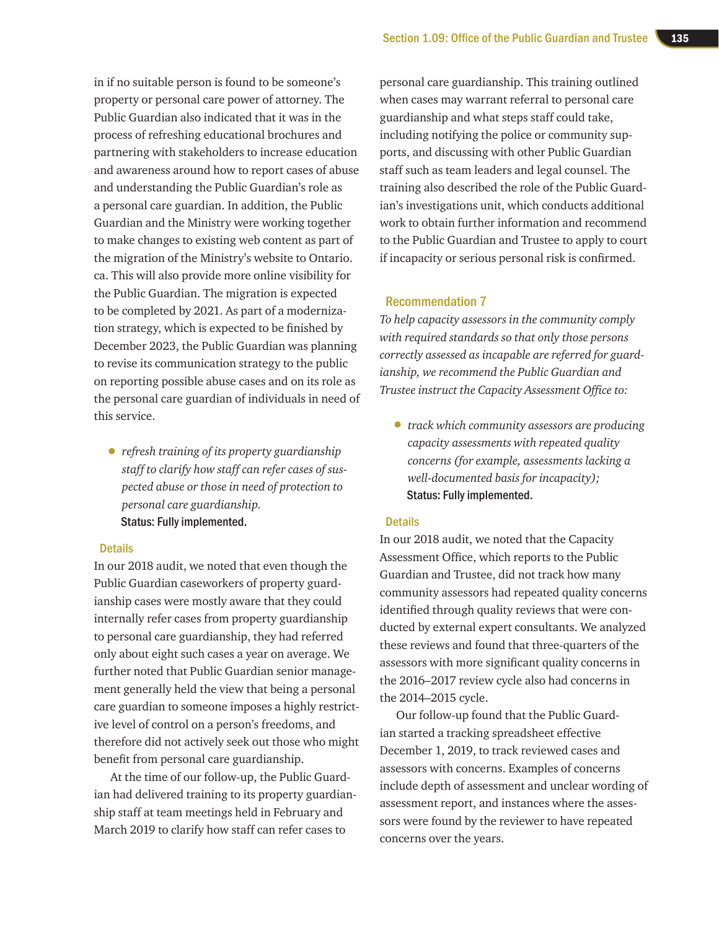in if no suitable person is found to be someone's property or personal care power of attorney. The Public Guardian also indicated that it was in the process of refreshing educational brochures and partnering with stakeholders to increase education and awareness around how to report cases of abuse and understanding the Public Guardian's role as a personal care guardian. In addition, the Public Guardian and the Ministry were working together to make changes to existing web content as part of the migration of the Ministry's website to Ontario. ca. This will also provide more online visibility for the Public Guardian. The migration is expected to be completed by 2021. As part of a modernization strategy, which is expected to be finished by December 2023, the Public Guardian was planning to revise its communication strategy to the public on reporting possible abuse cases and on its role as the personal care guardian of individuals in need of this service.

• *refresh training of its property guardianship staff to clarify how staff can refer cases of suspected abuse or those in need of protection to personal care guardianship.*  Status: Fully implemented.

#### **Details**

In our 2018 audit, we noted that even though the Public Guardian caseworkers of property guardianship cases were mostly aware that they could internally refer cases from property guardianship to personal care guardianship, they had referred only about eight such cases a year on average. We further noted that Public Guardian senior management generally held the view that being a personal care guardian to someone imposes a highly restrictive level of control on a person's freedoms, and therefore did not actively seek out those who might benefit from personal care guardianship.

At the time of our follow-up, the Public Guardian had delivered training to its property guardianship staff at team meetings held in February and March 2019 to clarify how staff can refer cases to

personal care guardianship. This training outlined when cases may warrant referral to personal care guardianship and what steps staff could take, including notifying the police or community supports, and discussing with other Public Guardian staff such as team leaders and legal counsel. The training also described the role of the Public Guardian's investigations unit, which conducts additional work to obtain further information and recommend to the Public Guardian and Trustee to apply to court if incapacity or serious personal risk is confirmed.

#### Recommendation 7

*To help capacity assessors in the community comply with required standards so that only those persons correctly assessed as incapable are referred for guardianship, we recommend the Public Guardian and Trustee instruct the Capacity Assessment Office to:* 

• *track which community assessors are producing capacity assessments with repeated quality concerns (for example, assessments lacking a well-documented basis for incapacity);*  Status: Fully implemented.

#### **Details**

In our 2018 audit, we noted that the Capacity Assessment Office, which reports to the Public Guardian and Trustee, did not track how many community assessors had repeated quality concerns identified through quality reviews that were conducted by external expert consultants. We analyzed these reviews and found that three-quarters of the assessors with more significant quality concerns in the 2016–2017 review cycle also had concerns in the 2014–2015 cycle.

Our follow-up found that the Public Guardian started a tracking spreadsheet effective December 1, 2019, to track reviewed cases and assessors with concerns. Examples of concerns include depth of assessment and unclear wording of assessment report, and instances where the assessors were found by the reviewer to have repeated concerns over the years.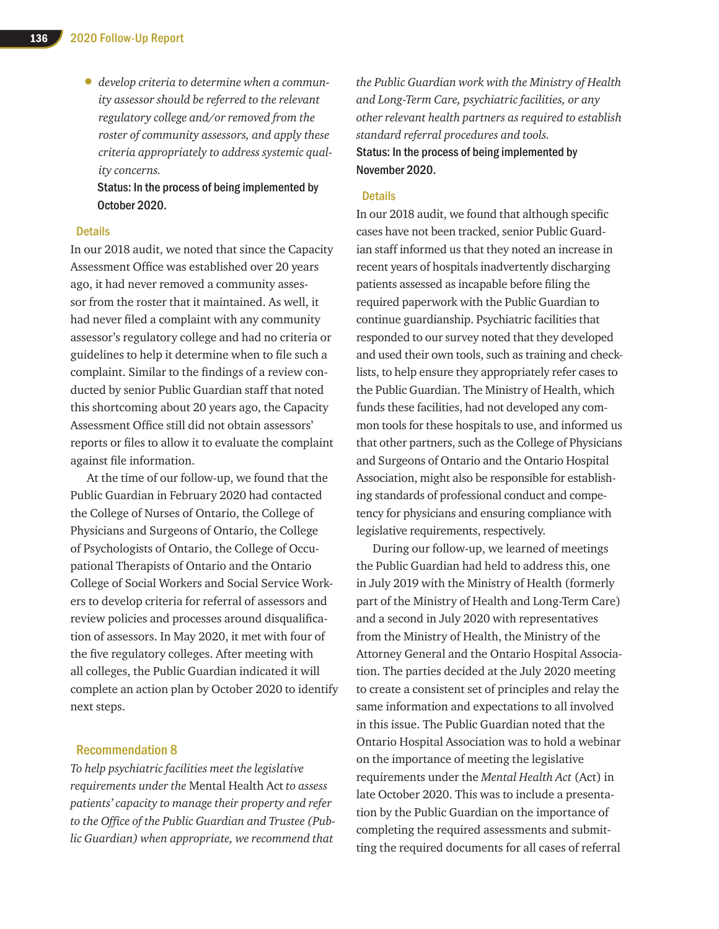• *develop criteria to determine when a community assessor should be referred to the relevant regulatory college and/or removed from the roster of community assessors, and apply these criteria appropriately to address systemic quality concerns.* 

Status: In the process of being implemented by October 2020.

#### **Details**

In our 2018 audit, we noted that since the Capacity Assessment Office was established over 20 years ago, it had never removed a community assessor from the roster that it maintained. As well, it had never filed a complaint with any community assessor's regulatory college and had no criteria or guidelines to help it determine when to file such a complaint. Similar to the findings of a review conducted by senior Public Guardian staff that noted this shortcoming about 20 years ago, the Capacity Assessment Office still did not obtain assessors' reports or files to allow it to evaluate the complaint against file information.

At the time of our follow-up, we found that the Public Guardian in February 2020 had contacted the College of Nurses of Ontario, the College of Physicians and Surgeons of Ontario, the College of Psychologists of Ontario, the College of Occupational Therapists of Ontario and the Ontario College of Social Workers and Social Service Workers to develop criteria for referral of assessors and review policies and processes around disqualification of assessors. In May 2020, it met with four of the five regulatory colleges. After meeting with all colleges, the Public Guardian indicated it will complete an action plan by October 2020 to identify next steps.

#### Recommendation 8

*To help psychiatric facilities meet the legislative requirements under the* Mental Health Act *to assess patients' capacity to manage their property and refer to the Office of the Public Guardian and Trustee (Public Guardian) when appropriate, we recommend that* 

*the Public Guardian work with the Ministry of Health and Long-Term Care, psychiatric facilities, or any other relevant health partners as required to establish standard referral procedures and tools.* Status: In the process of being implemented by November 2020.

#### **Details**

In our 2018 audit, we found that although specific cases have not been tracked, senior Public Guardian staff informed us that they noted an increase in recent years of hospitals inadvertently discharging patients assessed as incapable before filing the required paperwork with the Public Guardian to continue guardianship. Psychiatric facilities that responded to our survey noted that they developed and used their own tools, such as training and checklists, to help ensure they appropriately refer cases to the Public Guardian. The Ministry of Health, which funds these facilities, had not developed any common tools for these hospitals to use, and informed us that other partners, such as the College of Physicians and Surgeons of Ontario and the Ontario Hospital Association, might also be responsible for establishing standards of professional conduct and competency for physicians and ensuring compliance with legislative requirements, respectively.

During our follow-up, we learned of meetings the Public Guardian had held to address this, one in July 2019 with the Ministry of Health (formerly part of the Ministry of Health and Long-Term Care) and a second in July 2020 with representatives from the Ministry of Health, the Ministry of the Attorney General and the Ontario Hospital Association. The parties decided at the July 2020 meeting to create a consistent set of principles and relay the same information and expectations to all involved in this issue. The Public Guardian noted that the Ontario Hospital Association was to hold a webinar on the importance of meeting the legislative requirements under the *Mental Health Act* (Act) in late October 2020. This was to include a presentation by the Public Guardian on the importance of completing the required assessments and submitting the required documents for all cases of referral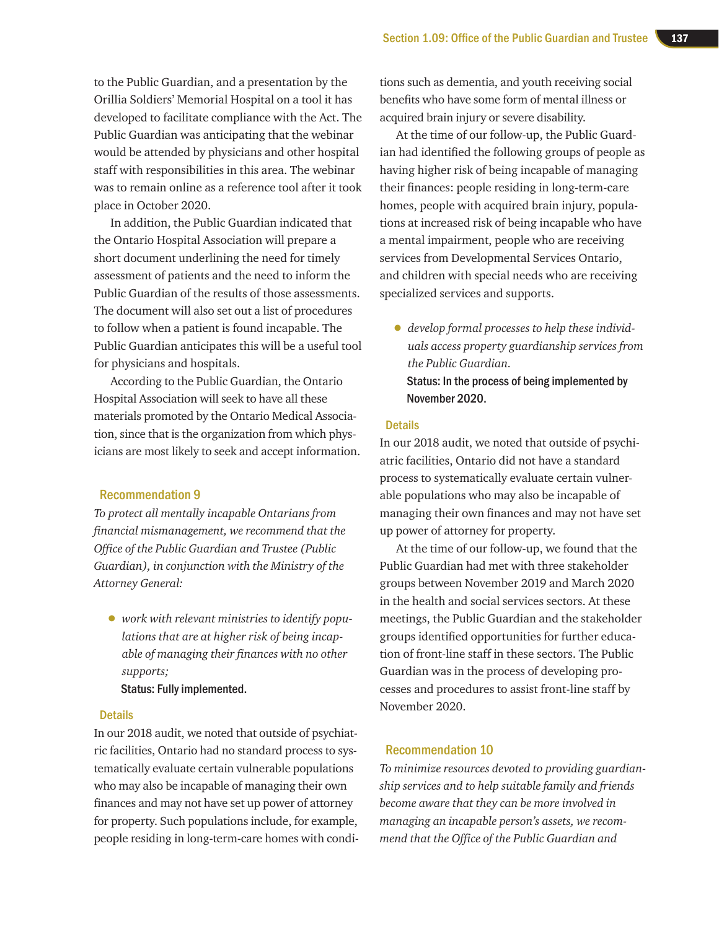to the Public Guardian, and a presentation by the Orillia Soldiers' Memorial Hospital on a tool it has developed to facilitate compliance with the Act. The Public Guardian was anticipating that the webinar would be attended by physicians and other hospital staff with responsibilities in this area. The webinar was to remain online as a reference tool after it took place in October 2020.

In addition, the Public Guardian indicated that the Ontario Hospital Association will prepare a short document underlining the need for timely assessment of patients and the need to inform the Public Guardian of the results of those assessments. The document will also set out a list of procedures to follow when a patient is found incapable. The Public Guardian anticipates this will be a useful tool for physicians and hospitals.

According to the Public Guardian, the Ontario Hospital Association will seek to have all these materials promoted by the Ontario Medical Association, since that is the organization from which physicians are most likely to seek and accept information.

#### Recommendation 9

*To protect all mentally incapable Ontarians from financial mismanagement, we recommend that the Office of the Public Guardian and Trustee (Public Guardian), in conjunction with the Ministry of the Attorney General:* 

• *work with relevant ministries to identify populations that are at higher risk of being incapable of managing their finances with no other supports;*  Status: Fully implemented.

#### **Details**

In our 2018 audit, we noted that outside of psychiatric facilities, Ontario had no standard process to systematically evaluate certain vulnerable populations who may also be incapable of managing their own finances and may not have set up power of attorney for property. Such populations include, for example, people residing in long-term-care homes with condi-

tions such as dementia, and youth receiving social benefits who have some form of mental illness or acquired brain injury or severe disability.

At the time of our follow-up, the Public Guardian had identified the following groups of people as having higher risk of being incapable of managing their finances: people residing in long-term-care homes, people with acquired brain injury, populations at increased risk of being incapable who have a mental impairment, people who are receiving services from Developmental Services Ontario, and children with special needs who are receiving specialized services and supports.

• *develop formal processes to help these individuals access property guardianship services from the Public Guardian.* Status: In the process of being implemented by November 2020.

#### **Details**

In our 2018 audit, we noted that outside of psychiatric facilities, Ontario did not have a standard process to systematically evaluate certain vulnerable populations who may also be incapable of managing their own finances and may not have set up power of attorney for property.

At the time of our follow-up, we found that the Public Guardian had met with three stakeholder groups between November 2019 and March 2020 in the health and social services sectors. At these meetings, the Public Guardian and the stakeholder groups identified opportunities for further education of front-line staff in these sectors. The Public Guardian was in the process of developing processes and procedures to assist front-line staff by November 2020.

#### Recommendation 10

*To minimize resources devoted to providing guardianship services and to help suitable family and friends become aware that they can be more involved in managing an incapable person's assets, we recommend that the Office of the Public Guardian and*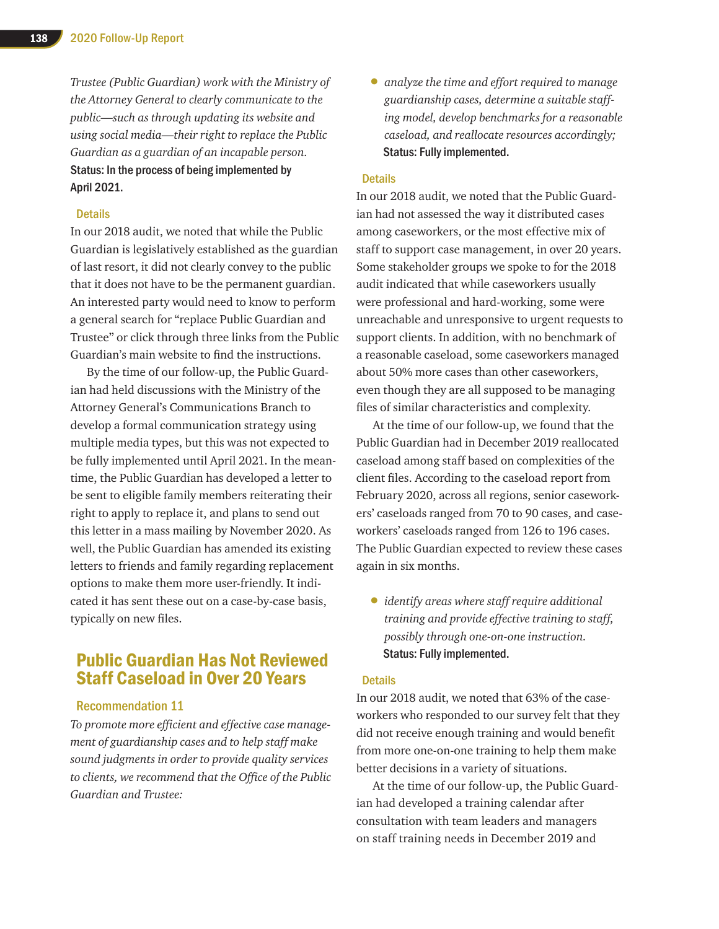*Trustee (Public Guardian) work with the Ministry of the Attorney General to clearly communicate to the public—such as through updating its website and using social media—their right to replace the Public Guardian as a guardian of an incapable person.* Status: In the process of being implemented by April 2021.

#### **Details**

In our 2018 audit, we noted that while the Public Guardian is legislatively established as the guardian of last resort, it did not clearly convey to the public that it does not have to be the permanent guardian. An interested party would need to know to perform a general search for "replace Public Guardian and Trustee" or click through three links from the Public Guardian's main website to find the instructions.

By the time of our follow-up, the Public Guardian had held discussions with the Ministry of the Attorney General's Communications Branch to develop a formal communication strategy using multiple media types, but this was not expected to be fully implemented until April 2021. In the meantime, the Public Guardian has developed a letter to be sent to eligible family members reiterating their right to apply to replace it, and plans to send out this letter in a mass mailing by November 2020. As well, the Public Guardian has amended its existing letters to friends and family regarding replacement options to make them more user-friendly. It indicated it has sent these out on a case-by-case basis, typically on new files.

## Public Guardian Has Not Reviewed Staff Caseload in Over 20 Years

#### Recommendation 11

*To promote more efficient and effective case management of guardianship cases and to help staff make sound judgments in order to provide quality services to clients, we recommend that the Office of the Public Guardian and Trustee:* 

• *analyze the time and effort required to manage guardianship cases, determine a suitable staffing model, develop benchmarks for a reasonable caseload, and reallocate resources accordingly;* Status: Fully implemented.

#### **Details**

In our 2018 audit, we noted that the Public Guardian had not assessed the way it distributed cases among caseworkers, or the most effective mix of staff to support case management, in over 20 years. Some stakeholder groups we spoke to for the 2018 audit indicated that while caseworkers usually were professional and hard-working, some were unreachable and unresponsive to urgent requests to support clients. In addition, with no benchmark of a reasonable caseload, some caseworkers managed about 50% more cases than other caseworkers, even though they are all supposed to be managing files of similar characteristics and complexity.

At the time of our follow-up, we found that the Public Guardian had in December 2019 reallocated caseload among staff based on complexities of the client files. According to the caseload report from February 2020, across all regions, senior caseworkers' caseloads ranged from 70 to 90 cases, and caseworkers' caseloads ranged from 126 to 196 cases. The Public Guardian expected to review these cases again in six months.

• *identify areas where staff require additional training and provide effective training to staff, possibly through one-on-one instruction.* Status: Fully implemented.

#### **Details**

In our 2018 audit, we noted that 63% of the caseworkers who responded to our survey felt that they did not receive enough training and would benefit from more one-on-one training to help them make better decisions in a variety of situations.

At the time of our follow-up, the Public Guardian had developed a training calendar after consultation with team leaders and managers on staff training needs in December 2019 and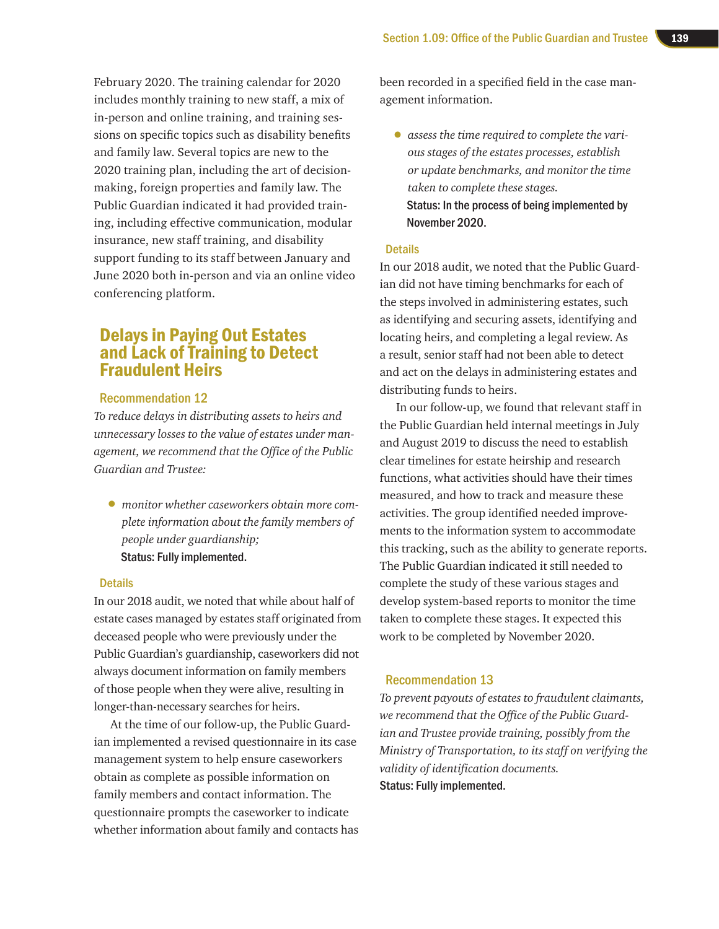February 2020. The training calendar for 2020 includes monthly training to new staff, a mix of in-person and online training, and training sessions on specific topics such as disability benefits and family law. Several topics are new to the 2020 training plan, including the art of decisionmaking, foreign properties and family law. The Public Guardian indicated it had provided training, including effective communication, modular insurance, new staff training, and disability support funding to its staff between January and June 2020 both in-person and via an online video conferencing platform.

## Delays in Paying Out Estates and Lack of Training to Detect Fraudulent Heirs

#### Recommendation 12

*To reduce delays in distributing assets to heirs and unnecessary losses to the value of estates under management, we recommend that the Office of the Public Guardian and Trustee:* 

• *monitor whether caseworkers obtain more complete information about the family members of people under guardianship;*  Status: Fully implemented.

#### **Details**

In our 2018 audit, we noted that while about half of estate cases managed by estates staff originated from deceased people who were previously under the Public Guardian's guardianship, caseworkers did not always document information on family members of those people when they were alive, resulting in longer-than-necessary searches for heirs.

At the time of our follow-up, the Public Guardian implemented a revised questionnaire in its case management system to help ensure caseworkers obtain as complete as possible information on family members and contact information. The questionnaire prompts the caseworker to indicate whether information about family and contacts has been recorded in a specified field in the case management information.

• *assess the time required to complete the various stages of the estates processes, establish or update benchmarks, and monitor the time taken to complete these stages.* Status: In the process of being implemented by November 2020.

#### **Details**

In our 2018 audit, we noted that the Public Guardian did not have timing benchmarks for each of the steps involved in administering estates, such as identifying and securing assets, identifying and locating heirs, and completing a legal review. As a result, senior staff had not been able to detect and act on the delays in administering estates and distributing funds to heirs.

In our follow-up, we found that relevant staff in the Public Guardian held internal meetings in July and August 2019 to discuss the need to establish clear timelines for estate heirship and research functions, what activities should have their times measured, and how to track and measure these activities. The group identified needed improvements to the information system to accommodate this tracking, such as the ability to generate reports. The Public Guardian indicated it still needed to complete the study of these various stages and develop system-based reports to monitor the time taken to complete these stages. It expected this work to be completed by November 2020.

#### Recommendation 13

*To prevent payouts of estates to fraudulent claimants, we recommend that the Office of the Public Guardian and Trustee provide training, possibly from the Ministry of Transportation, to its staff on verifying the validity of identification documents.* Status: Fully implemented.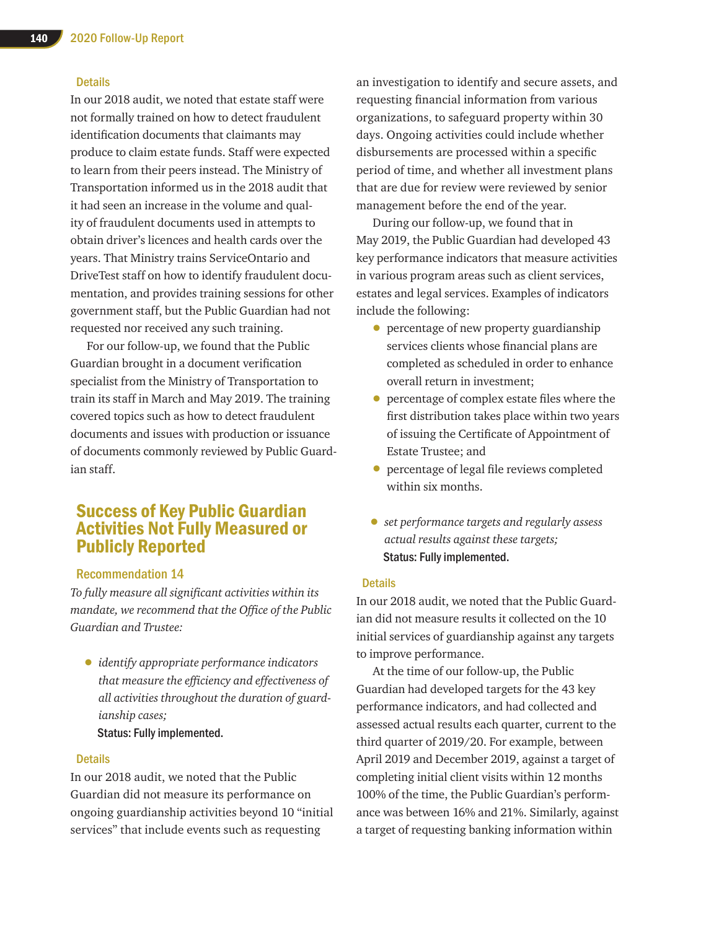#### **Details**

In our 2018 audit, we noted that estate staff were not formally trained on how to detect fraudulent identification documents that claimants may produce to claim estate funds. Staff were expected to learn from their peers instead. The Ministry of Transportation informed us in the 2018 audit that it had seen an increase in the volume and quality of fraudulent documents used in attempts to obtain driver's licences and health cards over the years. That Ministry trains ServiceOntario and DriveTest staff on how to identify fraudulent documentation, and provides training sessions for other government staff, but the Public Guardian had not requested nor received any such training.

For our follow-up, we found that the Public Guardian brought in a document verification specialist from the Ministry of Transportation to train its staff in March and May 2019. The training covered topics such as how to detect fraudulent documents and issues with production or issuance of documents commonly reviewed by Public Guardian staff.

## Success of Key Public Guardian Activities Not Fully Measured or Publicly Reported

#### Recommendation 14

*To fully measure all significant activities within its mandate, we recommend that the Office of the Public Guardian and Trustee:* 

• *identify appropriate performance indicators that measure the efficiency and effectiveness of all activities throughout the duration of guardianship cases;* 

Status: Fully implemented.

#### **Details**

In our 2018 audit, we noted that the Public Guardian did not measure its performance on ongoing guardianship activities beyond 10 "initial services" that include events such as requesting

an investigation to identify and secure assets, and requesting financial information from various organizations, to safeguard property within 30 days. Ongoing activities could include whether disbursements are processed within a specific period of time, and whether all investment plans that are due for review were reviewed by senior management before the end of the year.

During our follow-up, we found that in May 2019, the Public Guardian had developed 43 key performance indicators that measure activities in various program areas such as client services, estates and legal services. Examples of indicators include the following:

- percentage of new property guardianship services clients whose financial plans are completed as scheduled in order to enhance overall return in investment;
- percentage of complex estate files where the first distribution takes place within two years of issuing the Certificate of Appointment of Estate Trustee; and
- percentage of legal file reviews completed within six months.
- *set performance targets and regularly assess actual results against these targets;*  Status: Fully implemented.

#### **Details**

In our 2018 audit, we noted that the Public Guardian did not measure results it collected on the 10 initial services of guardianship against any targets to improve performance.

At the time of our follow-up, the Public Guardian had developed targets for the 43 key performance indicators, and had collected and assessed actual results each quarter, current to the third quarter of 2019/20. For example, between April 2019 and December 2019, against a target of completing initial client visits within 12 months 100% of the time, the Public Guardian's performance was between 16% and 21%. Similarly, against a target of requesting banking information within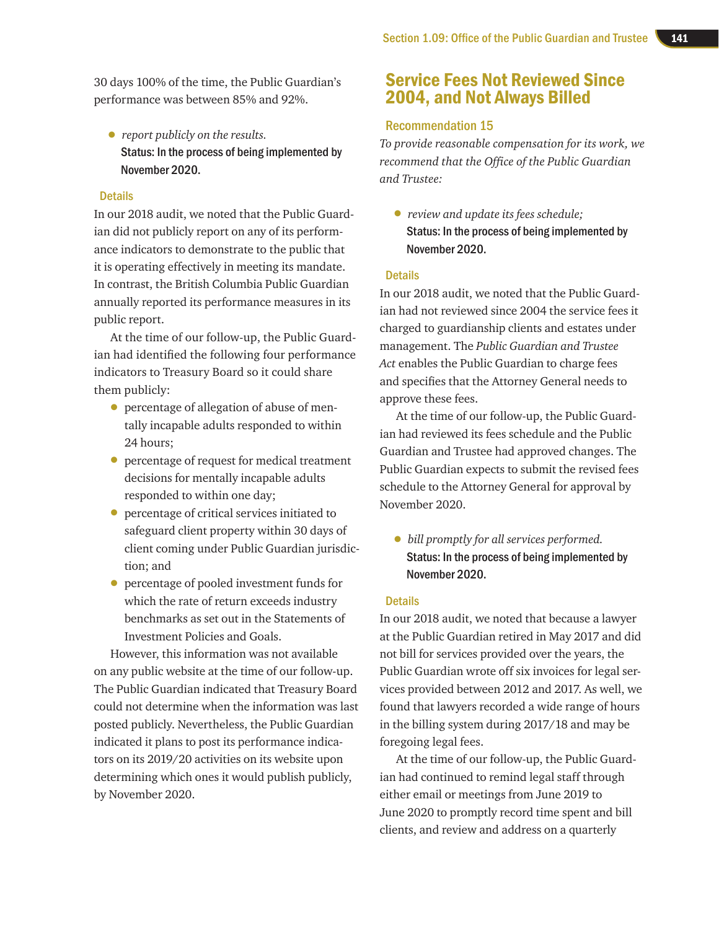30 days 100% of the time, the Public Guardian's performance was between 85% and 92%.

• *report publicly on the results.* Status: In the process of being implemented by November 2020.

#### **Details**

In our 2018 audit, we noted that the Public Guardian did not publicly report on any of its performance indicators to demonstrate to the public that it is operating effectively in meeting its mandate. In contrast, the British Columbia Public Guardian annually reported its performance measures in its public report.

At the time of our follow-up, the Public Guardian had identified the following four performance indicators to Treasury Board so it could share them publicly:

- percentage of allegation of abuse of mentally incapable adults responded to within 24 hours;
- percentage of request for medical treatment decisions for mentally incapable adults responded to within one day;
- percentage of critical services initiated to safeguard client property within 30 days of client coming under Public Guardian jurisdiction; and
- percentage of pooled investment funds for which the rate of return exceeds industry benchmarks as set out in the Statements of Investment Policies and Goals.

However, this information was not available on any public website at the time of our follow-up. The Public Guardian indicated that Treasury Board could not determine when the information was last posted publicly. Nevertheless, the Public Guardian indicated it plans to post its performance indicators on its 2019/20 activities on its website upon determining which ones it would publish publicly, by November 2020.

## Service Fees Not Reviewed Since 2004, and Not Always Billed

#### Recommendation 15

*To provide reasonable compensation for its work, we recommend that the Office of the Public Guardian and Trustee:* 

• *review and update its fees schedule;*  Status: In the process of being implemented by November 2020.

#### **Details**

In our 2018 audit, we noted that the Public Guardian had not reviewed since 2004 the service fees it charged to guardianship clients and estates under management. The *Public Guardian and Trustee Act* enables the Public Guardian to charge fees and specifies that the Attorney General needs to approve these fees.

At the time of our follow-up, the Public Guardian had reviewed its fees schedule and the Public Guardian and Trustee had approved changes. The Public Guardian expects to submit the revised fees schedule to the Attorney General for approval by November 2020.

• *bill promptly for all services performed.* Status: In the process of being implemented by November 2020.

#### **Details**

In our 2018 audit, we noted that because a lawyer at the Public Guardian retired in May 2017 and did not bill for services provided over the years, the Public Guardian wrote off six invoices for legal services provided between 2012 and 2017. As well, we found that lawyers recorded a wide range of hours in the billing system during 2017/18 and may be foregoing legal fees.

At the time of our follow-up, the Public Guardian had continued to remind legal staff through either email or meetings from June 2019 to June 2020 to promptly record time spent and bill clients, and review and address on a quarterly